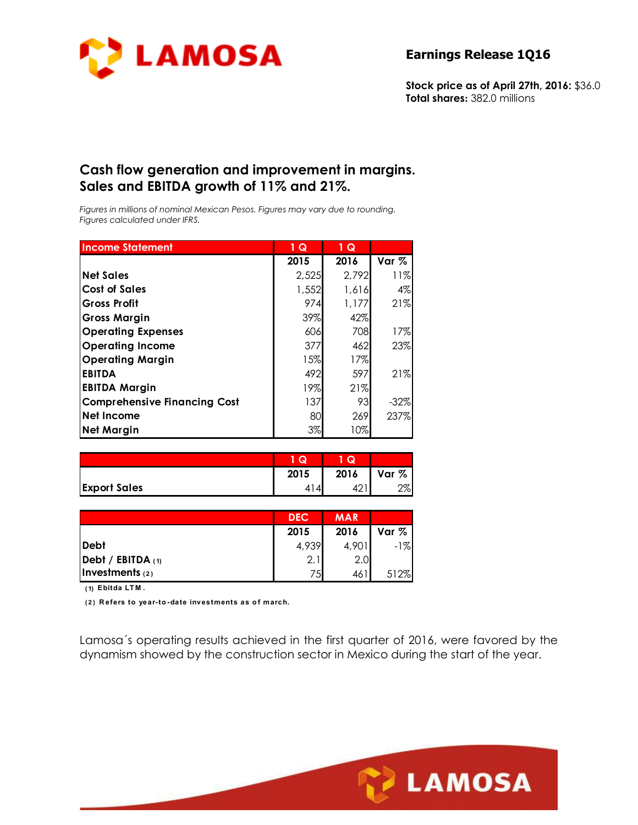

**Stock price as of April 27th, 2016:** \$36.0 **Total shares:** 382.0 millions

## **Cash flow generation and improvement in margins. Sales and EBITDA growth of 11% and 21%.**

*Figures in millions of nominal Mexican Pesos. Figures may vary due to rounding. Figures calculated under IFRS.* 

| <b>Income Statement</b>             | $1\overline{Q}$ | 1 Q   |        |
|-------------------------------------|-----------------|-------|--------|
|                                     | 2015            | 2016  | Var %  |
| <b>Net Sales</b>                    | 2,525           | 2,792 | 11%    |
| <b>Cost of Sales</b>                | 1,552           | 1,616 | 4%     |
| <b>Gross Profit</b>                 | 974             | 1,177 | 21%    |
| <b>Gross Margin</b>                 | 39%             | 42%   |        |
| <b>Operating Expenses</b>           | 606             | 708   | 17%    |
| <b>Operating Income</b>             | 377             | 462   | 23%    |
| <b>Operating Margin</b>             | 15%             | 17%   |        |
| <b>EBITDA</b>                       | 492             | 597   | 21%    |
| <b>EBITDA Margin</b>                | 19%             | 21%   |        |
| <b>Comprehensive Financing Cost</b> | 137             | 93    | $-32%$ |
| Net Income                          | 80              | 269   | 237%   |
| <b>Net Margin</b>                   | 3%              | 10%   |        |

|                     | Q    | o    |              |
|---------------------|------|------|--------------|
|                     | 2015 | 2016 | Var %        |
| <b>Export Sales</b> |      |      | 7סר<br>اہ⁄ ∠ |

|                   | <b>DEC</b> | <b>MAR</b> |       |
|-------------------|------------|------------|-------|
|                   | 2015       | 2016       | Var % |
| Debt              | 4,939      | 4,901      | $-1%$ |
| Debt / EBITDA (1) | 2.         | 2.0        |       |
| Investments $(2)$ | 75         | 461        | 512%  |

**( 1) Ebitda LT M .**

**( 2 ) R efers to year-to -date investments as o f march.**

Lamosa´s operating results achieved in the first quarter of 2016, were favored by the dynamism showed by the construction sector in Mexico during the start of the year.

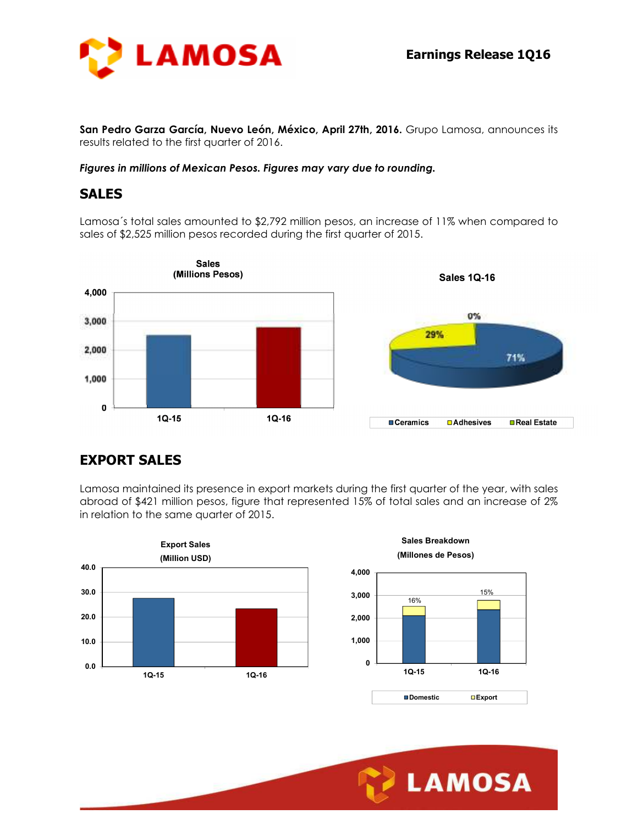

**San Pedro Garza García, Nuevo León, México, April 27th, 2016.** Grupo Lamosa, announces its results related to the first quarter of 2016.

*Figures in millions of Mexican Pesos. Figures may vary due to rounding.* 

### **SALES**

Lamosa´s total sales amounted to \$2,792 million pesos, an increase of 11% when compared to sales of \$2,525 million pesos recorded during the first quarter of 2015.



# **EXPORT SALES**

Lamosa maintained its presence in export markets during the first quarter of the year, with sales abroad of \$421 million pesos, figure that represented 15% of total sales and an increase of 2% in relation to the same quarter of 2015.

Ī





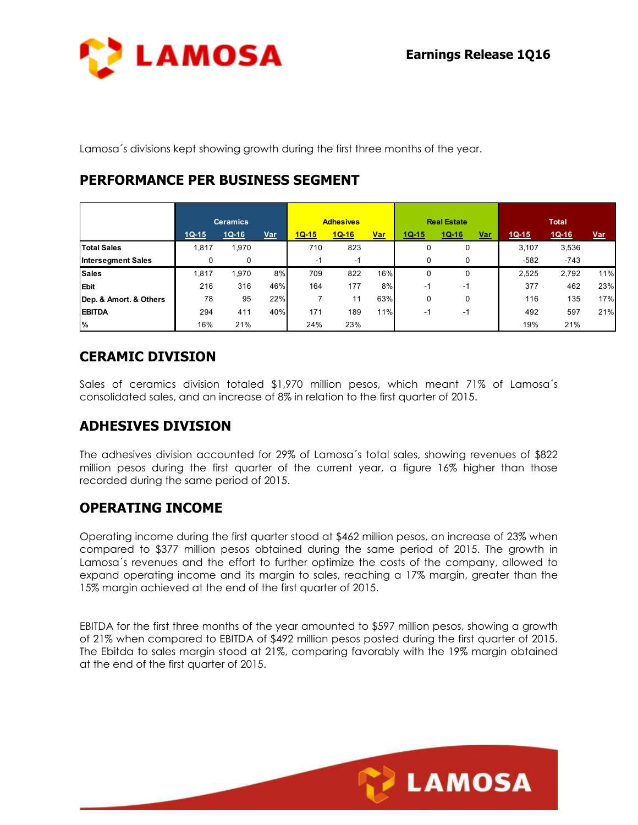

Lamosa´s divisions kept showing growth during the first three months of the year.

## **PERFORMANCE PER BUSINESS SEGMENT**

|                           | <b>Ceramics</b> |         | <b>Adhesives</b> |         | <b>Real Estate</b> |            |         | <b>Total</b> |            |         |         |            |
|---------------------------|-----------------|---------|------------------|---------|--------------------|------------|---------|--------------|------------|---------|---------|------------|
|                           | $1Q-15$         | $1Q-16$ | <u>Var</u>       | $1Q-15$ | $1Q-16$            | <u>Var</u> | $1Q-15$ | $1Q-16$      | <u>Var</u> | $1Q-15$ | $1Q-16$ | <u>Var</u> |
| <b>Total Sales</b>        | 1,817           | ,970    |                  | 710     | 823                |            | 0       | 0            |            | 3.107   | 3,536   |            |
| <b>Intersegment Sales</b> | 0               | 0       |                  | -1      | -1                 |            | 0       |              |            | $-582$  | $-743$  |            |
| <b>Sales</b>              | 1,817           | ,970    | 8%               | 709     | 822                | 16%        | 0       | 0            |            | 2,525   | 2,792   | 11%        |
| <b>Ebit</b>               | 216             | 316     | 46%              | 164     | 177                | 8%         | $-1$    | -1           |            | 377     | 462     | 23%        |
| Dep. & Amort. & Others    | 78              | 95      | 22%              |         | 11                 | 63%        | 0       | 0            |            | 116     | 135     | 17%        |
| <b>EBITDA</b>             | 294             | 411     | 40%              | 171     | 189                | 11%        | $-1$    | -1           |            | 492     | 597     | 21%        |
| %                         | 16%             | 21%     |                  | 24%     | 23%                |            |         |              |            | 19%     | 21%     |            |

## **CERAMIC DIVISION**

Sales of ceramics division totaled \$1,970 million pesos, which meant 71% of Lamosa´s consolidated sales, and an increase of 8% in relation to the first quarter of 2015.

# **ADHESIVES DIVISION**

The adhesives division accounted for 29% of Lamosa´s total sales, showing revenues of \$822 million pesos during the first quarter of the current year, a figure 16% higher than those recorded during the same period of 2015.

## **OPERATING INCOME**

Operating income during the first quarter stood at \$462 million pesos, an increase of 23% when compared to \$377 million pesos obtained during the same period of 2015. The growth in Lamosa´s revenues and the effort to further optimize the costs of the company, allowed to expand operating income and its margin to sales, reaching a 17% margin, greater than the 15% margin achieved at the end of the first quarter of 2015.

EBITDA for the first three months of the year amounted to \$597 million pesos, showing a growth of 21% when compared to EBITDA of \$492 million pesos posted during the first quarter of 2015. The Ebitda to sales margin stood at 21%, comparing favorably with the 19% margin obtained at the end of the first quarter of 2015.

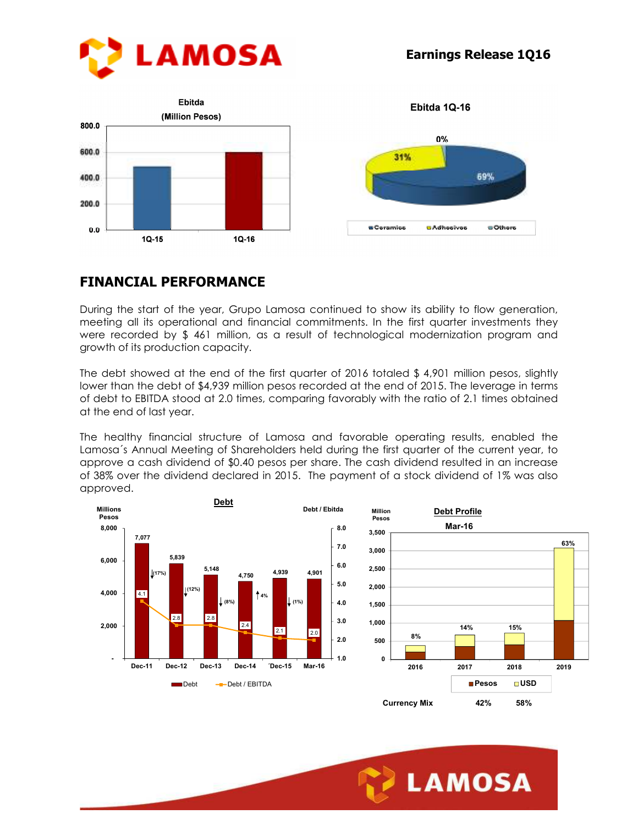





Ebitda 1Q-16

### **FINANCIAL PERFORMANCE**

During the start of the year, Grupo Lamosa continued to show its ability to flow generation, meeting all its operational and financial commitments. In the first quarter investments they were recorded by \$ 461 million, as a result of technological modernization program and growth of its production capacity.

The debt showed at the end of the first quarter of 2016 totaled \$ 4,901 million pesos, slightly lower than the debt of \$4,939 million pesos recorded at the end of 2015. The leverage in terms of debt to EBITDA stood at 2.0 times, comparing favorably with the ratio of 2.1 times obtained at the end of last year.

The healthy financial structure of Lamosa and favorable operating results, enabled the Lamosa´s Annual Meeting of Shareholders held during the first quarter of the current year, to approve a cash dividend of \$0.40 pesos per share. The cash dividend resulted in an increase of 38% over the dividend declared in 2015. The payment of a stock dividend of 1% was also approved.



Ī